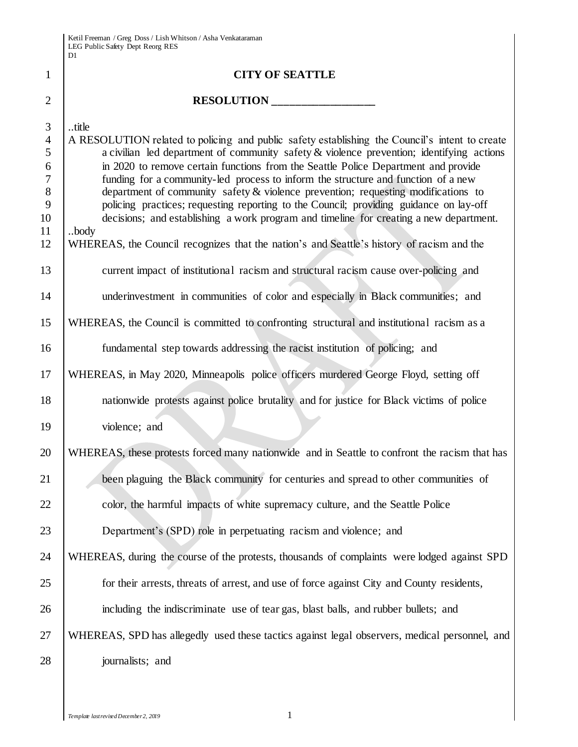|                                                                                    | D1                                                                                                                                                                                                                                                                                                                                                                                                                                                                                                                                                                                                                                                                |
|------------------------------------------------------------------------------------|-------------------------------------------------------------------------------------------------------------------------------------------------------------------------------------------------------------------------------------------------------------------------------------------------------------------------------------------------------------------------------------------------------------------------------------------------------------------------------------------------------------------------------------------------------------------------------------------------------------------------------------------------------------------|
| 1                                                                                  | <b>CITY OF SEATTLE</b>                                                                                                                                                                                                                                                                                                                                                                                                                                                                                                                                                                                                                                            |
| $\overline{2}$                                                                     |                                                                                                                                                                                                                                                                                                                                                                                                                                                                                                                                                                                                                                                                   |
| 3<br>$\overline{4}$<br>5<br>6<br>$\overline{7}$<br>$8\phantom{1}$<br>9<br>10<br>11 | title<br>A RESOLUTION related to policing and public safety establishing the Council's intent to create<br>a civilian led department of community safety $&$ violence prevention; identifying actions<br>in 2020 to remove certain functions from the Seattle Police Department and provide<br>funding for a community-led process to inform the structure and function of a new<br>department of community safety & violence prevention; requesting modifications to<br>policing practices; requesting reporting to the Council; providing guidance on lay-off<br>decisions; and establishing a work program and timeline for creating a new department.<br>body |
| 12                                                                                 | WHEREAS, the Council recognizes that the nation's and Seattle's history of racism and the                                                                                                                                                                                                                                                                                                                                                                                                                                                                                                                                                                         |
| 13                                                                                 | current impact of institutional racism and structural racism cause over-policing and                                                                                                                                                                                                                                                                                                                                                                                                                                                                                                                                                                              |
| 14                                                                                 | underinvestment in communities of color and especially in Black communities; and                                                                                                                                                                                                                                                                                                                                                                                                                                                                                                                                                                                  |
| 15                                                                                 | WHEREAS, the Council is committed to confronting structural and institutional racism as a                                                                                                                                                                                                                                                                                                                                                                                                                                                                                                                                                                         |
| 16                                                                                 | fundamental step towards addressing the racist institution of policing; and                                                                                                                                                                                                                                                                                                                                                                                                                                                                                                                                                                                       |
| 17                                                                                 | WHEREAS, in May 2020, Minneapolis police officers murdered George Floyd, setting off                                                                                                                                                                                                                                                                                                                                                                                                                                                                                                                                                                              |
| 18                                                                                 | nationwide protests against police brutality and for justice for Black victims of police                                                                                                                                                                                                                                                                                                                                                                                                                                                                                                                                                                          |
| 19                                                                                 | violence; and                                                                                                                                                                                                                                                                                                                                                                                                                                                                                                                                                                                                                                                     |
| 20                                                                                 | WHEREAS, these protests forced many nationwide and in Seattle to confront the racism that has                                                                                                                                                                                                                                                                                                                                                                                                                                                                                                                                                                     |
| 21                                                                                 | been plaguing the Black community for centuries and spread to other communities of                                                                                                                                                                                                                                                                                                                                                                                                                                                                                                                                                                                |
| 22                                                                                 | color, the harmful impacts of white supremacy culture, and the Seattle Police                                                                                                                                                                                                                                                                                                                                                                                                                                                                                                                                                                                     |
| 23                                                                                 | Department's (SPD) role in perpetuating racism and violence; and                                                                                                                                                                                                                                                                                                                                                                                                                                                                                                                                                                                                  |
| 24                                                                                 | WHEREAS, during the course of the protests, thousands of complaints were lodged against SPD                                                                                                                                                                                                                                                                                                                                                                                                                                                                                                                                                                       |
| 25                                                                                 | for their arrests, threats of arrest, and use of force against City and County residents,                                                                                                                                                                                                                                                                                                                                                                                                                                                                                                                                                                         |
| 26                                                                                 | including the indiscriminate use of tear gas, blast balls, and rubber bullets; and                                                                                                                                                                                                                                                                                                                                                                                                                                                                                                                                                                                |
| 27                                                                                 | WHEREAS, SPD has allegedly used these tactics against legal observers, medical personnel, and                                                                                                                                                                                                                                                                                                                                                                                                                                                                                                                                                                     |
| 28                                                                                 | journalists; and                                                                                                                                                                                                                                                                                                                                                                                                                                                                                                                                                                                                                                                  |

I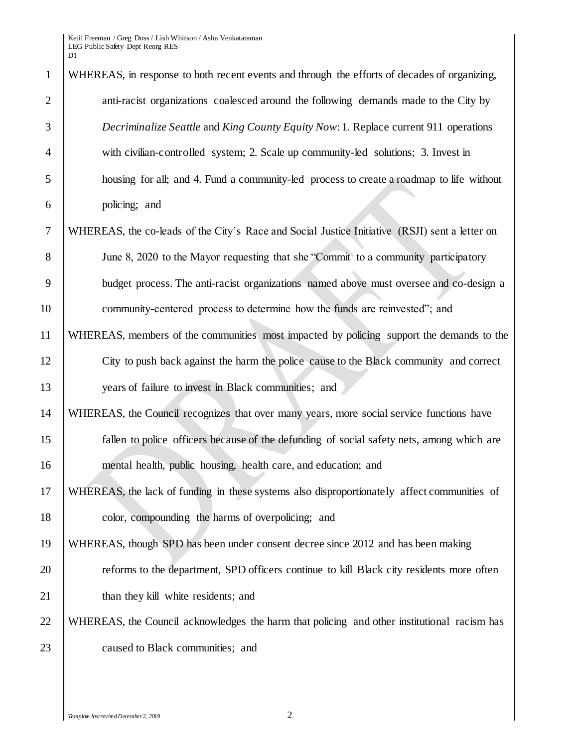| $\mathbf{1}$   | WHEREAS, in response to both recent events and through the efforts of decades of organizing,   |
|----------------|------------------------------------------------------------------------------------------------|
| $\overline{2}$ | anti-racist organizations coalesced around the following demands made to the City by           |
| 3              | Decriminalize Seattle and King County Equity Now: 1. Replace current 911 operations            |
| $\overline{4}$ | with civilian-controlled system; 2. Scale up community-led solutions; 3. Invest in             |
| 5              | housing for all; and 4. Fund a community-led process to create a roadmap to life without       |
| 6              | policing; and                                                                                  |
| $\tau$         | WHEREAS, the co-leads of the City's Race and Social Justice Initiative (RSJI) sent a letter on |
| 8              | June 8, 2020 to the Mayor requesting that she "Commit to a community participatory             |
| 9              | budget process. The anti-racist organizations named above must oversee and co-design a         |
| 10             | community-centered process to determine how the funds are reinvested"; and                     |
| 11             | WHEREAS, members of the communities most impacted by policing support the demands to the       |
| 12             | City to push back against the harm the police cause to the Black community and correct         |
| 13             | years of failure to invest in Black communities; and                                           |
| 14             | WHEREAS, the Council recognizes that over many years, more social service functions have       |
| 15             | fallen to police officers because of the defunding of social safety nets, among which are      |
| 16             | mental health, public housing, health care, and education; and                                 |
| 17             | WHEREAS, the lack of funding in these systems also disproportionately affect communities of    |
| 18             | color, compounding the harms of overpolicing; and                                              |
| 19             | WHEREAS, though SPD has been under consent decree since 2012 and has been making               |
| 20             | reforms to the department, SPD officers continue to kill Black city residents more often       |
| 21             | than they kill white residents; and                                                            |
| 22             | WHEREAS, the Council acknowledges the harm that policing and other institutional racism has    |
| 23             | caused to Black communities; and                                                               |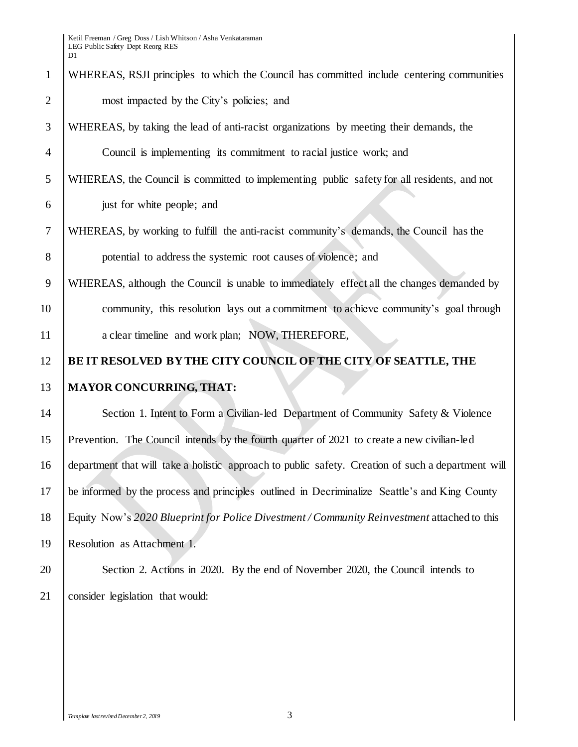# WHEREAS, RSJI principles to which the Council has committed include centering communities 2 most impacted by the City's policies; and WHEREAS, by taking the lead of anti-racist organizations by meeting their demands, the Council is implementing its commitment to racial justice work; and WHEREAS, the Council is committed to implementing public safety for all residents, and not just for white people; and WHEREAS, by working to fulfill the anti-racist community's demands, the Council has the potential to address the systemic root causes of violence; and WHEREAS, although the Council is unable to immediately effect all the changes demanded by community, this resolution lays out a commitment to achieve community's goal through 11 a clear timeline and work plan; NOW, THEREFORE, **BE IT RESOLVED BY THE CITY COUNCIL OF THE CITY OF SEATTLE, THE MAYOR CONCURRING, THAT:** 14 Section 1. Intent to Form a Civilian-led Department of Community Safety & Violence Prevention. The Council intends by the fourth quarter of 2021 to create a new civilian-led department that will take a holistic approach to public safety. Creation of such a department will be informed by the process and principles outlined in Decriminalize Seattle's and King County Equity Now's *2020 Blueprint for Police Divestment / Community Reinvestment* attached to this Resolution as Attachment 1. Section 2. Actions in 2020. By the end of November 2020, the Council intends to consider legislation that would: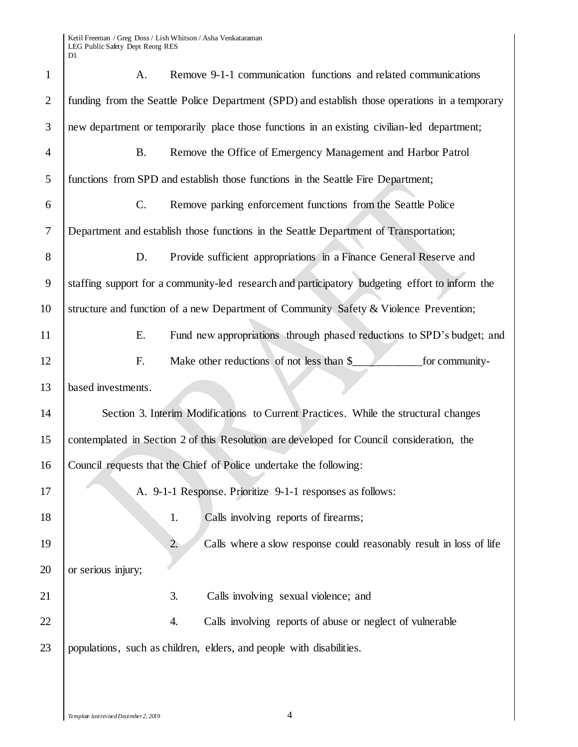| $\mathbf{1}$   | Remove 9-1-1 communication functions and related communications<br>A.                          |  |  |  |  |
|----------------|------------------------------------------------------------------------------------------------|--|--|--|--|
| $\overline{2}$ | funding from the Seattle Police Department (SPD) and establish those operations in a temporary |  |  |  |  |
| 3              | new department or temporarily place those functions in an existing civilian-led department;    |  |  |  |  |
| $\overline{4}$ | <b>B.</b><br>Remove the Office of Emergency Management and Harbor Patrol                       |  |  |  |  |
| 5              | functions from SPD and establish those functions in the Seattle Fire Department;               |  |  |  |  |
| 6              | $\mathcal{C}$ .<br>Remove parking enforcement functions from the Seattle Police                |  |  |  |  |
| $\overline{7}$ | Department and establish those functions in the Seattle Department of Transportation;          |  |  |  |  |
| 8              | Provide sufficient appropriations in a Finance General Reserve and<br>D.                       |  |  |  |  |
| 9              | staffing support for a community-led research and participatory budgeting effort to inform the |  |  |  |  |
| 10             | structure and function of a new Department of Community Safety & Violence Prevention;          |  |  |  |  |
| 11             | Fund new appropriations through phased reductions to SPD's budget; and<br>Ε.                   |  |  |  |  |
| 12             | Make other reductions of not less than \$<br>F.<br>for community-                              |  |  |  |  |
| 13             | based investments.                                                                             |  |  |  |  |
| 14             | Section 3. Interim Modifications to Current Practices. While the structural changes            |  |  |  |  |
| 15             | contemplated in Section 2 of this Resolution are developed for Council consideration, the      |  |  |  |  |
| 16             | Council requests that the Chief of Police undertake the following:                             |  |  |  |  |
| 17             | A. 9-1-1 Response. Prioritize 9-1-1 responses as follows:                                      |  |  |  |  |
| 18             | Calls involving reports of firearms;<br>1.                                                     |  |  |  |  |
| 19             | 2.<br>Calls where a slow response could reasonably result in loss of life                      |  |  |  |  |
| 20             | or serious injury;                                                                             |  |  |  |  |
| 21             | Calls involving sexual violence; and<br>3.                                                     |  |  |  |  |
| 22             | Calls involving reports of abuse or neglect of vulnerable<br>4.                                |  |  |  |  |
| 23             | populations, such as children, elders, and people with disabilities.                           |  |  |  |  |
|                |                                                                                                |  |  |  |  |
|                |                                                                                                |  |  |  |  |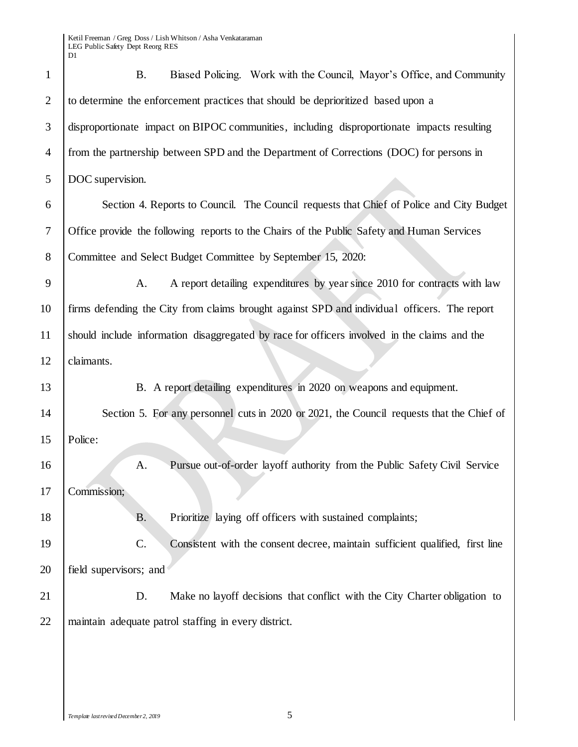| $\mathbf{1}$   | Biased Policing. Work with the Council, Mayor's Office, and Community<br><b>B.</b>           |
|----------------|----------------------------------------------------------------------------------------------|
| $\overline{2}$ | to determine the enforcement practices that should be deprioritized based upon a             |
| 3              | disproportionate impact on BIPOC communities, including disproportionate impacts resulting   |
| $\overline{4}$ | from the partnership between SPD and the Department of Corrections (DOC) for persons in      |
| 5              | DOC supervision.                                                                             |
| 6              | Section 4. Reports to Council. The Council requests that Chief of Police and City Budget     |
| 7              | Office provide the following reports to the Chairs of the Public Safety and Human Services   |
| 8              | Committee and Select Budget Committee by September 15, 2020:                                 |
| 9              | A report detailing expenditures by year since 2010 for contracts with law<br>A.              |
| 10             | firms defending the City from claims brought against SPD and individual officers. The report |
| 11             | should include information disaggregated by race for officers involved in the claims and the |
| 12             | claimants.                                                                                   |
| 13             | B. A report detailing expenditures in 2020 on weapons and equipment.                         |
| 14             | Section 5. For any personnel cuts in 2020 or 2021, the Council requests that the Chief of    |
| 15             | Police:                                                                                      |
| 16             | Pursue out-of-order layoff authority from the Public Safety Civil Service<br>A.              |
| 17             | Commission;                                                                                  |
| 18             | Prioritize laying off officers with sustained complaints;<br>Β.                              |
| 19             | C.<br>Consistent with the consent decree, maintain sufficient qualified, first line          |
| 20             | field supervisors; and                                                                       |
| 21             | D.<br>Make no layoff decisions that conflict with the City Charter obligation to             |
| 22             | maintain adequate patrol staffing in every district.                                         |
|                |                                                                                              |
|                |                                                                                              |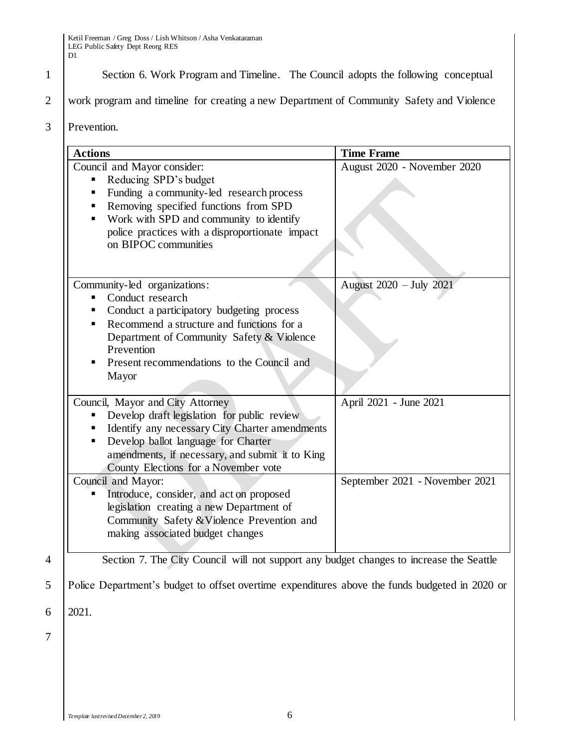1 Section 6. Work Program and Timeline. The Council adopts the following conceptual

2 work program and timeline for creating a new Department of Community Safety and Violence

3 Prevention.

| <b>Actions</b>                                                                                                                                                                                                                                                                | <b>Time Frame</b>              |  |
|-------------------------------------------------------------------------------------------------------------------------------------------------------------------------------------------------------------------------------------------------------------------------------|--------------------------------|--|
| Council and Mayor consider:<br>Reducing SPD's budget<br>Funding a community-led research process<br>Removing specified functions from SPD<br>Work with SPD and community to identify<br>police practices with a disproportionate impact<br>on BIPOC communities               | August 2020 - November 2020    |  |
| Community-led organizations:<br>Conduct research<br>Conduct a participatory budgeting process<br>п<br>Recommend a structure and functions for a<br>Department of Community Safety & Violence<br>Prevention<br>Present recommendations to the Council and<br>Mayor             | August 2020 - July 2021        |  |
| Council, Mayor and City Attorney<br>Develop draft legislation for public review<br>п<br>Identify any necessary City Charter amendments<br>Develop ballot language for Charter<br>п<br>amendments, if necessary, and submit it to King<br>County Elections for a November vote | April 2021 - June 2021         |  |
| Council and Mayor:<br>Introduce, consider, and act on proposed<br>legislation creating a new Department of<br>Community Safety & Violence Prevention and<br>making associated budget changes                                                                                  | September 2021 - November 2021 |  |

7

4 Section 7. The City Council will not support any budget changes to increase the Seattle

5 Police Department's budget to offset overtime expenditures above the funds budgeted in 2020 or

6 2021.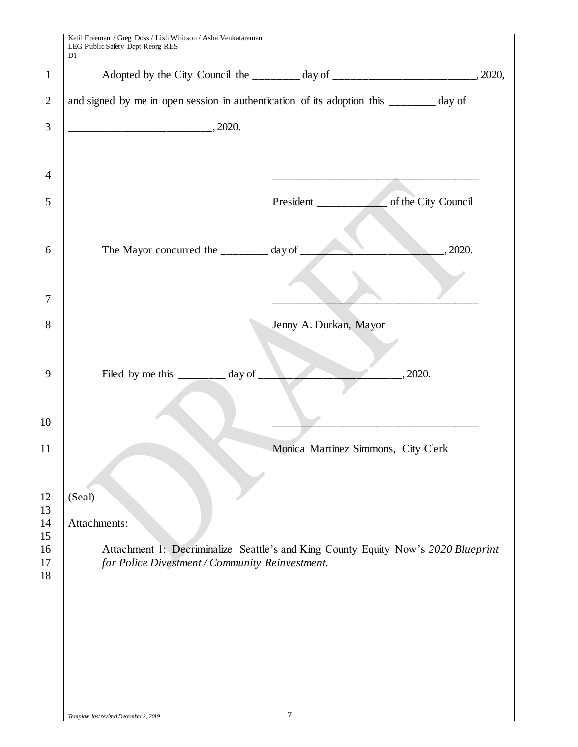| and signed by me in open session in authentication of its adoption this ______ day of                                                |                                                            |                                     |  |
|--------------------------------------------------------------------------------------------------------------------------------------|------------------------------------------------------------|-------------------------------------|--|
|                                                                                                                                      |                                                            |                                     |  |
|                                                                                                                                      |                                                            |                                     |  |
|                                                                                                                                      |                                                            |                                     |  |
|                                                                                                                                      |                                                            |                                     |  |
|                                                                                                                                      | The Mayor concurred the $\frac{1}{2}$ day of $\frac{1}{2}$ | $\frac{1}{2020}$ .                  |  |
|                                                                                                                                      |                                                            |                                     |  |
|                                                                                                                                      |                                                            | Jenny A. Durkan, Mayor              |  |
|                                                                                                                                      | Filed by me this $\frac{1}{2}$ day of $\frac{1}{2}$        | $\frac{1}{2}$ , 2020.               |  |
|                                                                                                                                      |                                                            |                                     |  |
|                                                                                                                                      |                                                            | Monica Martinez Simmons, City Clerk |  |
| (Seal)                                                                                                                               | Attachments:                                               |                                     |  |
| Attachment 1: Decriminalize Seattle's and King County Equity Now's 2020 Blueprint<br>for Police Divestment / Community Reinvestment. |                                                            |                                     |  |
|                                                                                                                                      |                                                            |                                     |  |
|                                                                                                                                      |                                                            |                                     |  |
|                                                                                                                                      |                                                            |                                     |  |
|                                                                                                                                      |                                                            |                                     |  |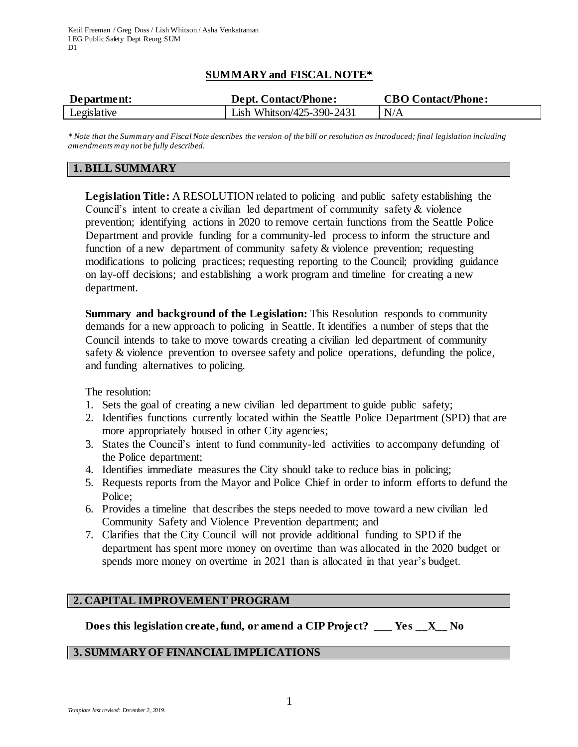# **SUMMARY and FISCAL NOTE\***

| Department: | <b>Dept. Contact/Phone:</b> | <b>CBO Contact/Phone:</b> |
|-------------|-----------------------------|---------------------------|
| Legislative | Lish Whitson/425-390-2431   | N/A                       |

*\* Note that the Summary and Fiscal Note describes the version of the bill or resolution as introduced; final legislation including amendments may not be fully described.*

### **1. BILL SUMMARY**

**Legislation Title:** A RESOLUTION related to policing and public safety establishing the Council's intent to create a civilian led department of community safety & violence prevention; identifying actions in 2020 to remove certain functions from the Seattle Police Department and provide funding for a community-led process to inform the structure and function of a new department of community safety & violence prevention; requesting modifications to policing practices; requesting reporting to the Council; providing guidance on lay-off decisions; and establishing a work program and timeline for creating a new department.

**Summary and background of the Legislation:** This Resolution responds to community demands for a new approach to policing in Seattle. It identifies a number of steps that the Council intends to take to move towards creating a civilian led department of community safety & violence prevention to oversee safety and police operations, defunding the police, and funding alternatives to policing.

The resolution:

- 1. Sets the goal of creating a new civilian led department to guide public safety;
- 2. Identifies functions currently located within the Seattle Police Department (SPD) that are more appropriately housed in other City agencies;
- 3. States the Council's intent to fund community-led activities to accompany defunding of the Police department;
- 4. Identifies immediate measures the City should take to reduce bias in policing;
- 5. Requests reports from the Mayor and Police Chief in order to inform efforts to defund the Police;
- 6. Provides a timeline that describes the steps needed to move toward a new civilian led Community Safety and Violence Prevention department; and
- 7. Clarifies that the City Council will not provide additional funding to SPD if the department has spent more money on overtime than was allocated in the 2020 budget or spends more money on overtime in 2021 than is allocated in that year's budget.

#### **2. CAPITAL IMPROVEMENT PROGRAM**

**Does this legislation create, fund, or amend a CIP Project? \_\_\_ Yes \_\_X\_\_ No**

#### **3. SUMMARY OF FINANCIAL IMPLICATIONS**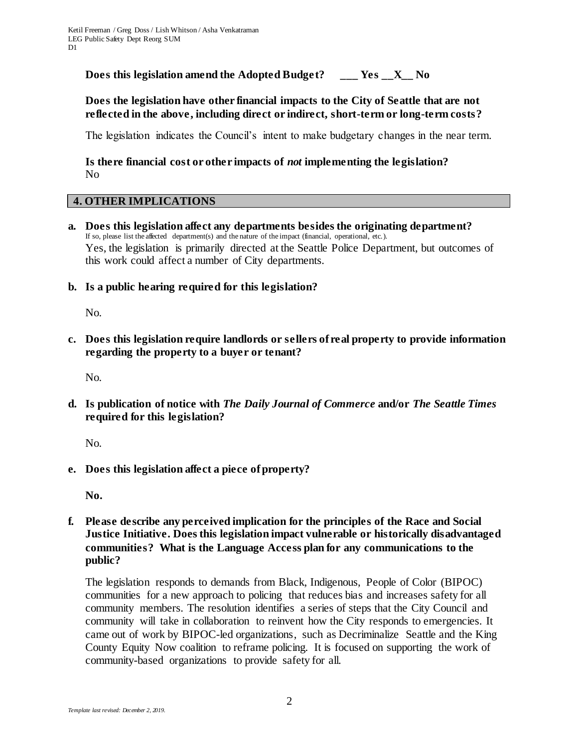**Does this legislation amend the Adopted Budget? \_\_\_ Yes \_\_X\_\_ No**

# **Does the legislation have other financial impacts to the City of Seattle that are not reflected in the above, including direct or indirect, short-term or long-term costs?**

The legislation indicates the Council's intent to make budgetary changes in the near term.

# **Is there financial cost or other impacts of** *not* **implementing the legislation?** No

#### **4. OTHER IMPLICATIONS**

- **a. Does this legislation affect any departments besides the originating department?** If so, please list the affected department(s) and the nature of the impact (financial, operational, etc.). Yes, the legislation is primarily directed at the Seattle Police Department, but outcomes of this work could affect a number of City departments.
- **b. Is a public hearing required for this legislation?**

No.

**c. Does this legislation require landlords or sellers of real property to provide information regarding the property to a buyer or tenant?**

No.

**d. Is publication of notice with** *The Daily Journal of Commerce* **and/or** *The Seattle Times* **required for this legislation?**

No.

**e. Does this legislation affect a piece of property?**

**No.** 

**f. Please describe any perceived implication for the principles of the Race and Social Justice Initiative. Does this legislation impact vulnerable or historically disadvantaged communities? What is the Language Access plan for any communications to the public?**

The legislation responds to demands from Black, Indigenous, People of Color (BIPOC) communities for a new approach to policing that reduces bias and increases safety for all community members. The resolution identifies a series of steps that the City Council and community will take in collaboration to reinvent how the City responds to emergencies. It came out of work by BIPOC-led organizations, such as Decriminalize Seattle and the King County Equity Now coalition to reframe policing. It is focused on supporting the work of community-based organizations to provide safety for all.